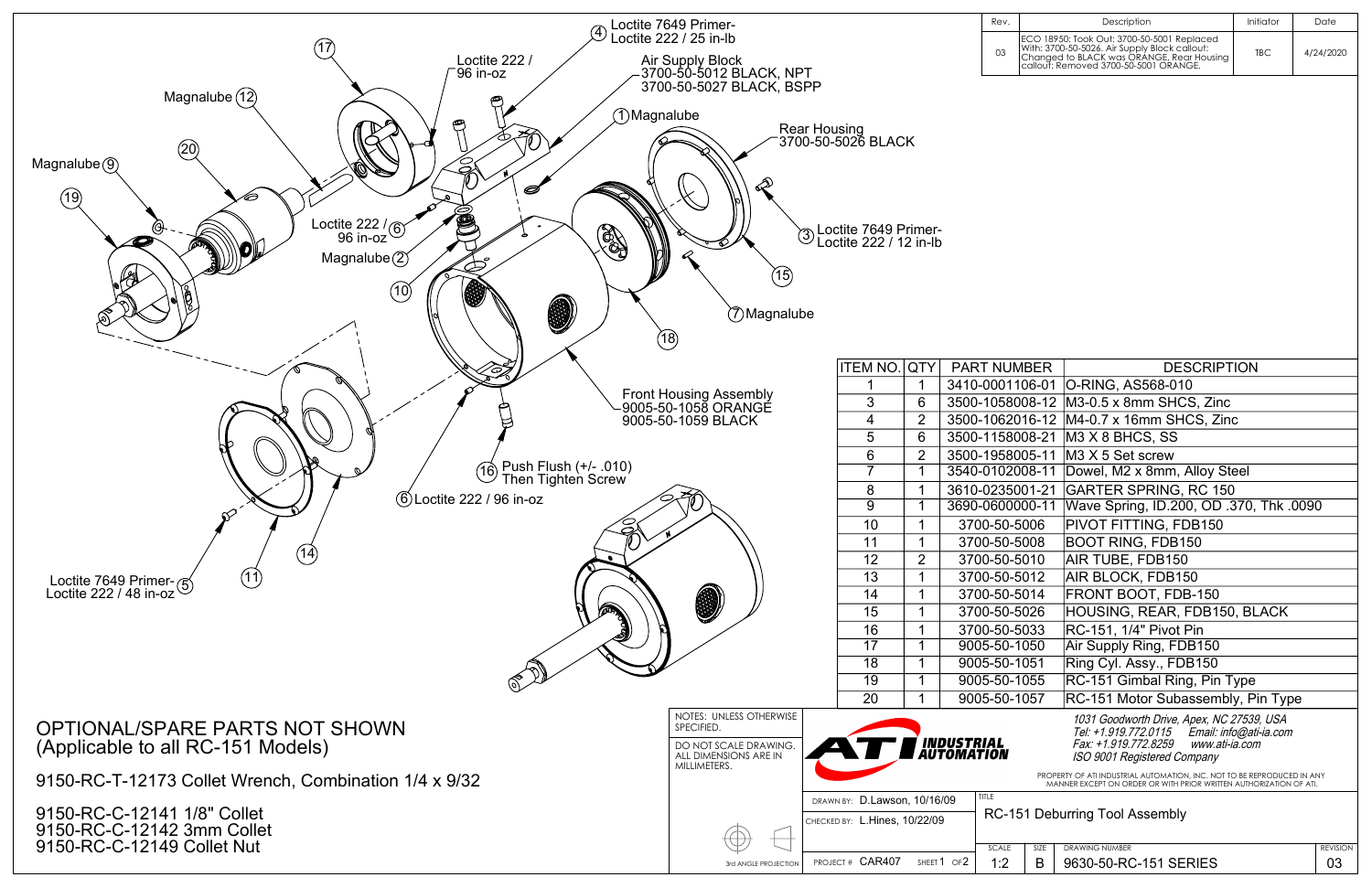

|                                                                                                                                               |                |                           | Rev.                                  |  | Description                                                                                                                                                                       | Initiator | Date      |  |  |
|-----------------------------------------------------------------------------------------------------------------------------------------------|----------------|---------------------------|---------------------------------------|--|-----------------------------------------------------------------------------------------------------------------------------------------------------------------------------------|-----------|-----------|--|--|
|                                                                                                                                               |                |                           | 03                                    |  | ECO 18950: Took Out: 3700-50-5001 Replaced<br>With: 3700-50-5026. Air Supply Block callout:<br>Changed to BLACK was ORANGE. Rear Housing<br>callout: Removed 3700-50-5001 ORANGE. | TBC       | 4/24/2020 |  |  |
|                                                                                                                                               |                |                           |                                       |  |                                                                                                                                                                                   |           |           |  |  |
|                                                                                                                                               |                |                           |                                       |  |                                                                                                                                                                                   |           |           |  |  |
| i BLACK                                                                                                                                       |                |                           |                                       |  |                                                                                                                                                                                   |           |           |  |  |
|                                                                                                                                               |                |                           |                                       |  |                                                                                                                                                                                   |           |           |  |  |
|                                                                                                                                               |                |                           |                                       |  |                                                                                                                                                                                   |           |           |  |  |
|                                                                                                                                               |                |                           |                                       |  |                                                                                                                                                                                   |           |           |  |  |
| 7649 Primer-                                                                                                                                  |                |                           |                                       |  |                                                                                                                                                                                   |           |           |  |  |
|                                                                                                                                               | 222 / 12 in-lb |                           |                                       |  |                                                                                                                                                                                   |           |           |  |  |
|                                                                                                                                               |                |                           |                                       |  |                                                                                                                                                                                   |           |           |  |  |
|                                                                                                                                               |                |                           |                                       |  |                                                                                                                                                                                   |           |           |  |  |
|                                                                                                                                               |                |                           |                                       |  |                                                                                                                                                                                   |           |           |  |  |
|                                                                                                                                               |                |                           |                                       |  |                                                                                                                                                                                   |           |           |  |  |
|                                                                                                                                               |                |                           |                                       |  |                                                                                                                                                                                   |           |           |  |  |
|                                                                                                                                               |                |                           |                                       |  |                                                                                                                                                                                   |           |           |  |  |
| M NO.<br>$\mathbf 1$                                                                                                                          | QTY<br>1       |                           | <b>PART NUMBER</b><br>3410-0001106-01 |  | <b>DESCRIPTION</b><br>O-RING, AS568-010                                                                                                                                           |           |           |  |  |
| $\sqrt{3}$                                                                                                                                    | 6              |                           | 3500-1058008-12                       |  | M3-0.5 x 8mm SHCS, Zinc                                                                                                                                                           |           |           |  |  |
| $\overline{\mathbf{4}}$                                                                                                                       | 2              |                           | 3500-1062016-12                       |  | M4-0.7 x 16mm SHCS, Zinc                                                                                                                                                          |           |           |  |  |
| $\overline{5}$                                                                                                                                | 6              |                           | 3500-1158008-21                       |  | M3 X 8 BHCS, SS                                                                                                                                                                   |           |           |  |  |
| $\overline{6}$                                                                                                                                | 2              |                           | 3500-1958005-11                       |  | M3 X 5 Set screw                                                                                                                                                                  |           |           |  |  |
| $\overline{7}$                                                                                                                                | 1              |                           | 3540-0102008-11                       |  | Dowel, M2 x 8mm, Alloy Steel                                                                                                                                                      |           |           |  |  |
| 8                                                                                                                                             |                |                           | 3610-0235001-21                       |  | <b>GARTER SPRING, RC 150</b>                                                                                                                                                      |           |           |  |  |
| $\overline{9}$                                                                                                                                | 1<br>1         |                           | 3690-0600000-11                       |  | Wave Spring, ID.200, OD .370, Thk .0090                                                                                                                                           |           |           |  |  |
|                                                                                                                                               |                |                           |                                       |  |                                                                                                                                                                                   |           |           |  |  |
| 10                                                                                                                                            | 1              |                           | 3700-50-5006                          |  | PIVOT FITTING, FDB150                                                                                                                                                             |           |           |  |  |
| 11                                                                                                                                            | 1              |                           | 3700-50-5008                          |  | <b>BOOT RING, FDB150</b>                                                                                                                                                          |           |           |  |  |
| 12                                                                                                                                            | 2              |                           | 3700-50-5010                          |  | AIR TUBE, FDB150                                                                                                                                                                  |           |           |  |  |
| 13                                                                                                                                            | 1              |                           | 3700-50-5012                          |  | AIR BLOCK, FDB150                                                                                                                                                                 |           |           |  |  |
| 14                                                                                                                                            | 1              |                           | 3700-50-5014                          |  | FRONT BOOT, FDB-150                                                                                                                                                               |           |           |  |  |
| 15                                                                                                                                            | 1              |                           | 3700-50-5026                          |  | HOUSING, REAR, FDB150, BLACK                                                                                                                                                      |           |           |  |  |
| 16                                                                                                                                            | 1              |                           | 3700-50-5033                          |  | RC-151, 1/4" Pivot Pin                                                                                                                                                            |           |           |  |  |
| $\overline{17}$                                                                                                                               | 1              |                           | 9005-50-1050                          |  | Air Supply Ring, FDB150                                                                                                                                                           |           |           |  |  |
| $\overline{18}$                                                                                                                               | 1              |                           | 9005-50-1051                          |  | Ring Cyl. Assy., FDB150                                                                                                                                                           |           |           |  |  |
| $\overline{19}$                                                                                                                               | 1              |                           | 9005-50-1055                          |  | RC-151 Gimbal Ring, Pin Type                                                                                                                                                      |           |           |  |  |
| $\overline{20}$                                                                                                                               | 1              | 9005-50-1057              |                                       |  | RC-151 Motor Subassembly, Pin Type                                                                                                                                                |           |           |  |  |
|                                                                                                                                               |                |                           |                                       |  | 1031 Goodworth Drive, Apex, NC 27539, USA                                                                                                                                         |           |           |  |  |
|                                                                                                                                               |                |                           |                                       |  | Tel: +1.919.772.0115    Email: info@ati-ia.com                                                                                                                                    |           |           |  |  |
| $\mathbf{L}$                                                                                                                                  |                | 'INDUSTRIAL<br>AUTOMATION |                                       |  | Fax: +1.919.772.8259<br>www.ati-ia.com                                                                                                                                            |           |           |  |  |
|                                                                                                                                               |                |                           |                                       |  | ISO 9001 Registered Company                                                                                                                                                       |           |           |  |  |
| PROPERTY OF ATI INDUSTRIAL AUTOMATION, INC. NOT TO BE REPRODUCED IN ANY<br>MANNER EXCEPT ON ORDER OR WITH PRIOR WRITTEN AUTHORIZATION OF ATI. |                |                           |                                       |  |                                                                                                                                                                                   |           |           |  |  |
| 0.Lawson, 10/16/09                                                                                                                            |                |                           | <b>TITLE</b>                          |  |                                                                                                                                                                                   |           |           |  |  |
| RC-151 Deburring Tool Assembly<br>Hines 10/22/09                                                                                              |                |                           |                                       |  |                                                                                                                                                                                   |           |           |  |  |

| SIZE<br><b>DRAWING NUMBER</b><br><b>SCALE</b>                          | <b>REVISION</b> |
|------------------------------------------------------------------------|-----------------|
|                                                                        |                 |
| PROJECT# CARA07<br>9630-50-RC-151 SERIES<br>OF2<br>B<br>SHEET 1<br>. . | $\sim$<br>UL    |